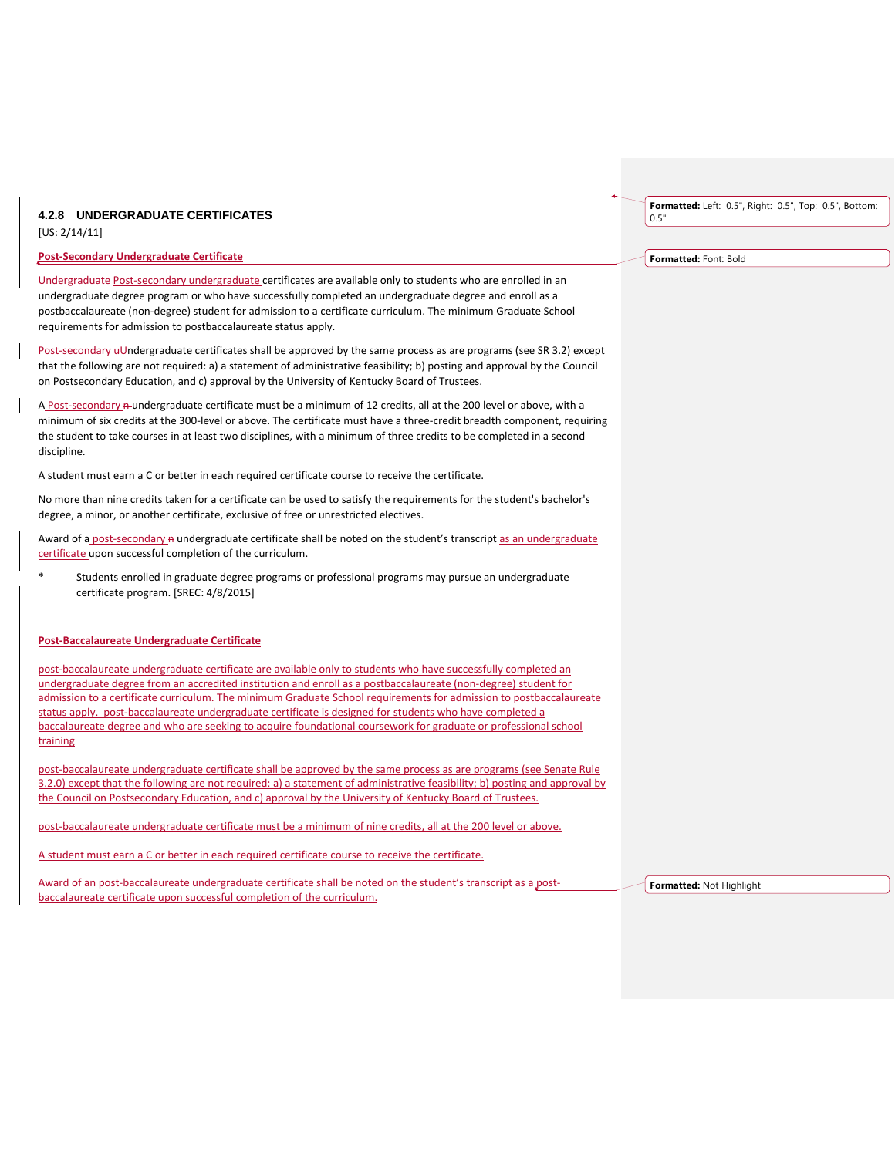## **4.2.8 UNDERGRADUATE CERTIFICATES**

[US: 2/14/11]

## **Post-Secondary Undergraduate Certificate**

Undergraduate Post-secondary undergraduate certificates are available only to students who are enrolled in an undergraduate degree program or who have successfully completed an undergraduate degree and enroll as a postbaccalaureate (non-degree) student for admission to a certificate curriculum. The minimum Graduate School requirements for admission to postbaccalaureate status apply.

Post-secondary uUndergraduate certificates shall be approved by the same process as are programs (see SR 3.2) except that the following are not required: a) a statement of administrative feasibility; b) posting and approval by the Council on Postsecondary Education, and c) approval by the University of Kentucky Board of Trustees.

A Post-secondary n-undergraduate certificate must be a minimum of 12 credits, all at the 200 level or above, with a minimum of six credits at the 300-level or above. The certificate must have a three-credit breadth component, requiring the student to take courses in at least two disciplines, with a minimum of three credits to be completed in a second discipline.

A student must earn a C or better in each required certificate course to receive the certificate.

No more than nine credits taken for a certificate can be used to satisfy the requirements for the student's bachelor's degree, a minor, or another certificate, exclusive of free or unrestricted electives.

Award of a post-secondary a undergraduate certificate shall be noted on the student's transcript as an undergraduate certificate upon successful completion of the curriculum.

Students enrolled in graduate degree programs or professional programs may pursue an undergraduate certificate program. [SREC: 4/8/2015]

## **Post-Baccalaureate Undergraduate Certificate**

post-baccalaureate undergraduate certificate are available only to students who have successfully completed an undergraduate degree from an accredited institution and enroll as a postbaccalaureate (non-degree) student for admission to a certificate curriculum. The minimum Graduate School requirements for admission to postbaccalaureate status apply. post-baccalaureate undergraduate certificate is designed for students who have completed a baccalaureate degree and who are seeking to acquire foundational coursework for graduate or professional school training

post-baccalaureate undergraduate certificate shall be approved by the same process as are programs (see Senate Rule 3.2.0) except that the following are not required: a) a statement of administrative feasibility; b) posting and approval by the Council on Postsecondary Education, and c) approval by the University of Kentucky Board of Trustees.

post-baccalaureate undergraduate certificate must be a minimum of nine credits, all at the 200 level or above.

A student must earn a C or better in each required certificate course to receive the certificate.

Award of an post-baccalaureate undergraduate certificate shall be noted on the student's transcript as a postbaccalaureate certificate upon successful completion of the curriculum.

**Formatted:** Left: 0.5", Right: 0.5", Top: 0.5", Bottom: 0.5"

**Formatted:** Font: Bold

**Formatted:** Not Highlight